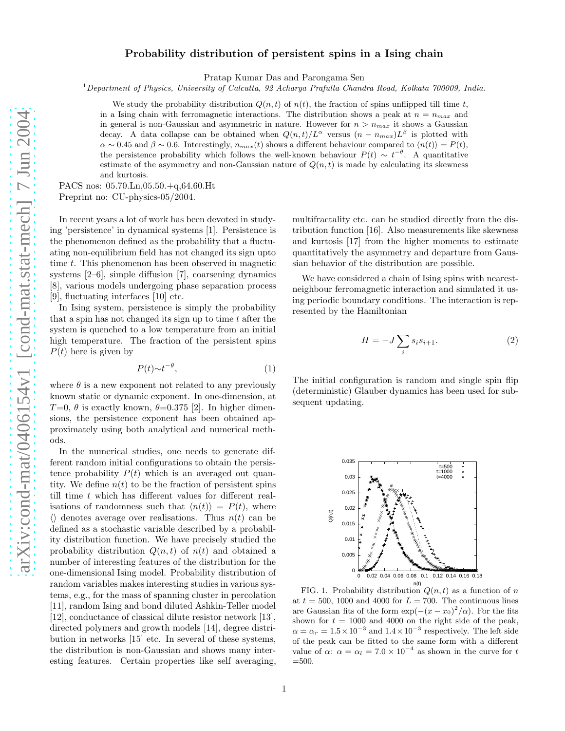## Probability distribution of persistent spins in a Ising chain

Pratap Kumar Das and Parongama Sen

 $1$ Department of Physics, University of Calcutta, 92 Acharya Prafulla Chandra Road, Kolkata 700009, India.

We study the probability distribution  $Q(n, t)$  of  $n(t)$ , the fraction of spins unflipped till time t, in a Ising chain with ferromagnetic interactions. The distribution shows a peak at  $n = n_{max}$  and in general is non-Gaussian and asymmetric in nature. However for  $n > n_{max}$  it shows a Gaussian decay. A data collapse can be obtained when  $Q(n,t)/L^{\alpha}$  versus  $(n - n_{max})L^{\beta}$  is plotted with  $\alpha \sim 0.45$  and  $\beta \sim 0.6$ . Interestingly,  $n_{max}(t)$  shows a different behaviour compared to  $\langle n(t) \rangle = P(t)$ , the persistence probability which follows the well-known behaviour  $P(t) \sim t^{-\theta}$ . A quantitative estimate of the asymmetry and non-Gaussian nature of  $Q(n, t)$  is made by calculating its skewness and kurtosis.

PACS nos: 05.70.Ln,05.50.+q,64.60.Ht Preprint no: CU-physics-05/2004.

In recent years a lot of work has been devoted in studying 'persistence' in dynamical systems [1]. Persistence is the phenomenon defined as the probability that a fluctuating non-equilibrium field has not changed its sign upto time t. This phenomenon has been observed in magnetic systems [2–6], simple diffusion [7], coarsening dynamics [8], various models undergoing phase separation process [9], fluctuating interfaces [10] etc.

In Ising system, persistence is simply the probability that a spin has not changed its sign up to time  $t$  after the system is quenched to a low temperature from an initial high temperature. The fraction of the persistent spins  $P(t)$  here is given by

$$
P(t) \sim t^{-\theta},\tag{1}
$$

where  $\theta$  is a new exponent not related to any previously known static or dynamic exponent. In one-dimension, at  $T=0, \theta$  is exactly known,  $\theta=0.375$  [2]. In higher dimensions, the persistence exponent has been obtained approximately using both analytical and numerical methods.

In the numerical studies, one needs to generate different random initial configurations to obtain the persistence probability  $P(t)$  which is an averaged out quantity. We define  $n(t)$  to be the fraction of persistent spins till time t which has different values for different realisations of randomness such that  $\langle n(t)\rangle = P(t)$ , where  $\langle \rangle$  denotes average over realisations. Thus  $n(t)$  can be defined as a stochastic variable described by a probability distribution function. We have precisely studied the probability distribution  $Q(n, t)$  of  $n(t)$  and obtained a number of interesting features of the distribution for the one-dimensional Ising model. Probability distribution of random variables makes interesting studies in various systems, e.g., for the mass of spanning cluster in percolation [11], random Ising and bond diluted Ashkin-Teller model [12], conductance of classical dilute resistor network [13], directed polymers and growth models [14], degree distribution in networks [15] etc. In several of these systems, the distribution is non-Gaussian and shows many interesting features. Certain properties like self averaging,

multifractality etc. can be studied directly from the distribution function [16]. Also measurements like skewness and kurtosis [17] from the higher moments to estimate quantitatively the asymmetry and departure from Gaussian behavior of the distribution are possible.

We have considered a chain of Ising spins with nearestneighbour ferromagnetic interaction and simulated it using periodic boundary conditions. The interaction is represented by the Hamiltonian

$$
H = -J\sum_{i} s_i s_{i+1}.\tag{2}
$$

The initial configuration is random and single spin flip (deterministic) Glauber dynamics has been used for subsequent updating.



FIG. 1. Probability distribution  $Q(n, t)$  as a function of n at  $t = 500$ , 1000 and 4000 for  $L = 700$ . The continuous lines are Gaussian fits of the form  $\exp(-(x-x_0)^2/\alpha)$ . For the fits shown for  $t = 1000$  and 4000 on the right side of the peak,  $\alpha = \alpha_r = 1.5 \times 10^{-3}$  and  $1.4 \times 10^{-3}$  respectively. The left side of the peak can be fitted to the same form with a different value of  $\alpha$ :  $\alpha = \alpha_l = 7.0 \times 10^{-4}$  as shown in the curve for t =500.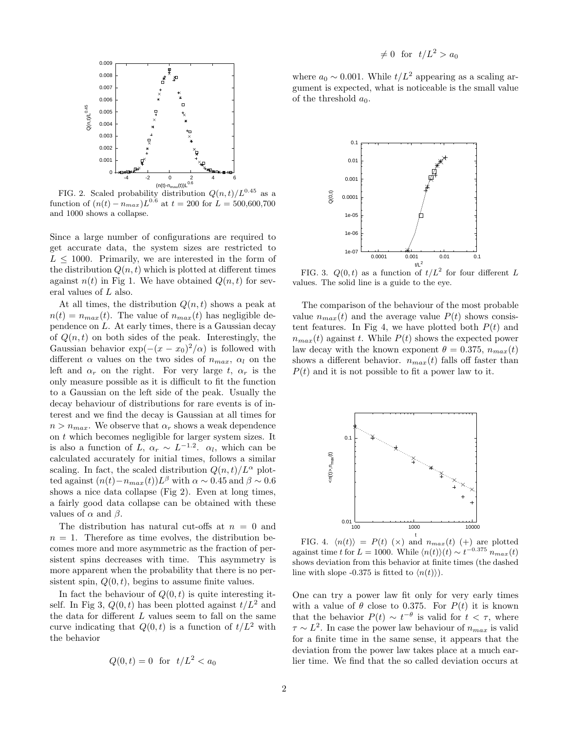

FIG. 2. Scaled probability distribution  $Q(n, t)/L^{0.45}$  as a function of  $(n(t) - n_{max})L^{0.6}$  at  $t = 200$  for  $L = 500,600,700$ and 1000 shows a collapse.

Since a large number of configurations are required to get accurate data, the system sizes are restricted to  $L \leq 1000$ . Primarily, we are interested in the form of the distribution  $Q(n, t)$  which is plotted at different times against  $n(t)$  in Fig 1. We have obtained  $Q(n, t)$  for several values of L also.

At all times, the distribution  $Q(n, t)$  shows a peak at  $n(t) = n_{max}(t)$ . The value of  $n_{max}(t)$  has negligible dependence on L. At early times, there is a Gaussian decay of  $Q(n, t)$  on both sides of the peak. Interestingly, the Gaussian behavior  $\exp(-(x-x_0)^2/\alpha)$  is followed with different  $\alpha$  values on the two sides of  $n_{max}$ ,  $\alpha_l$  on the left and  $\alpha_r$  on the right. For very large t,  $\alpha_r$  is the only measure possible as it is difficult to fit the function to a Gaussian on the left side of the peak. Usually the decay behaviour of distributions for rare events is of interest and we find the decay is Gaussian at all times for  $n > n_{max}$ . We observe that  $\alpha_r$  shows a weak dependence on  $t$  which becomes negligible for larger system sizes. It is also a function of  $\overline{L}$ ,  $\alpha_r \sim L^{-1.2}$ .  $\alpha_l$ , which can be calculated accurately for initial times, follows a similar scaling. In fact, the scaled distribution  $Q(n, t)/L^{\alpha}$  plotted against  $(n(t) - n_{max}(t))L^{\beta}$  with  $\alpha \sim 0.45$  and  $\beta \sim 0.6$ shows a nice data collapse (Fig 2). Even at long times, a fairly good data collapse can be obtained with these values of  $\alpha$  and  $\beta$ .

The distribution has natural cut-offs at  $n = 0$  and  $n = 1$ . Therefore as time evolves, the distribution becomes more and more asymmetric as the fraction of persistent spins decreases with time. This asymmetry is more apparent when the probability that there is no persistent spin,  $Q(0, t)$ , begins to assume finite values.

In fact the behaviour of  $Q(0, t)$  is quite interesting itself. In Fig 3,  $Q(0, t)$  has been plotted against  $t/L^2$  and the data for different  $L$  values seem to fall on the same curve indicating that  $Q(0, t)$  is a function of  $t/L^2$  with the behavior

$$
Q(0,t) = 0 \quad \text{for} \quad t/L^2 < a_0
$$

where  $a_0 \sim 0.001$ . While  $t/L^2$  appearing as a scaling argument is expected, what is noticeable is the small value of the threshold  $a_0$ .



FIG. 3.  $Q(0, t)$  as a function of  $t/L^2$  for four different L values. The solid line is a guide to the eye.

The comparison of the behaviour of the most probable value  $n_{max}(t)$  and the average value  $P(t)$  shows consistent features. In Fig 4, we have plotted both  $P(t)$  and  $n_{max}(t)$  against t. While  $P(t)$  shows the expected power law decay with the known exponent  $\theta = 0.375$ ,  $n_{max}(t)$ shows a different behavior.  $n_{max}(t)$  falls off faster than  $P(t)$  and it is not possible to fit a power law to it.



FIG. 4.  $\langle n(t) \rangle = P(t) \; (\times)$  and  $n_{max}(t)$  (+) are plotted against time t for  $L = 1000$ . While  $\langle n(t) \rangle(t) \sim t^{-0.375} n_{max}(t)$ shows deviation from this behavior at finite times (the dashed line with slope -0.375 is fitted to  $\langle n(t) \rangle$ ).

One can try a power law fit only for very early times with a value of  $\theta$  close to 0.375. For  $P(t)$  it is known that the behavior  $P(t) \sim t^{-\theta}$  is valid for  $t < \tau$ , where  $\tau \sim L^2$ . In case the power law behaviour of  $n_{max}$  is valid for a finite time in the same sense, it appears that the deviation from the power law takes place at a much earlier time. We find that the so called deviation occurs at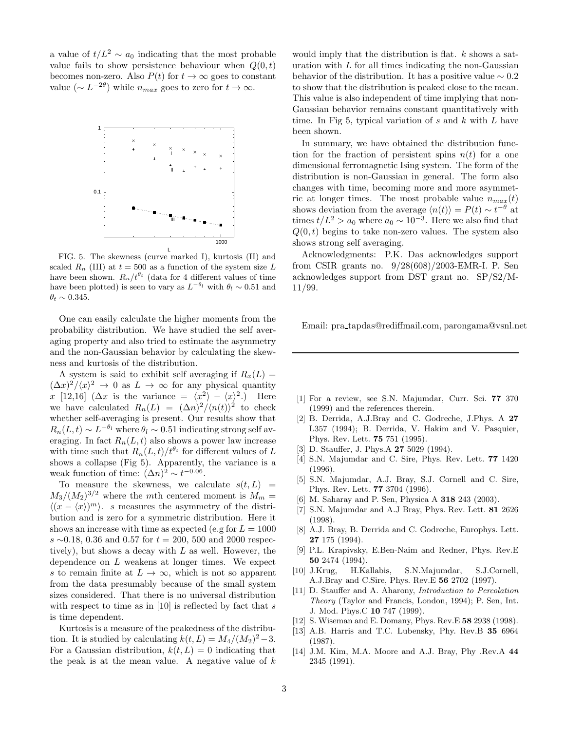a value of  $t/L^2 \sim a_0$  indicating that the most probable value fails to show persistence behaviour when  $Q(0, t)$ becomes non-zero. Also  $P(t)$  for  $t \to \infty$  goes to constant value ( $\sim L^{-2\theta}$ ) while  $n_{max}$  goes to zero for  $t \to \infty$ .



FIG. 5. The skewness (curve marked I), kurtosis (II) and scaled  $R_n$  (III) at  $t = 500$  as a function of the system size L have been shown.  $R_n/t^{\theta_t}$  (data for 4 different values of time have been plotted) is seen to vary as  $L^{-\theta_l}$  with  $\theta_l \sim 0.51$  and  $\theta_t \sim 0.345$ .

One can easily calculate the higher moments from the probability distribution. We have studied the self averaging property and also tried to estimate the asymmetry and the non-Gaussian behavior by calculating the skewness and kurtosis of the distribution.

A system is said to exhibit self averaging if  $R_x(L) =$  $(\Delta x)^2 / \langle x \rangle^2 \rightarrow 0$  as  $L \rightarrow \infty$  for any physical quantity x [12,16]  $(\Delta x \text{ is the variance } = \langle x^2 \rangle - \langle x \rangle^2)$ . Here we have calculated  $R_n(L) = (\Delta n)^2 / \langle n(t) \rangle^2$  to check whether self-averaging is present. Our results show that  $R_n(L, t) \sim L^{-\theta_l}$  where  $\theta_l \sim 0.51$  indicating strong self averaging. In fact  $R_n(L, t)$  also shows a power law increase with time such that  $R_n(L, t)/t^{\theta_t}$  for different values of L shows a collapse (Fig 5). Apparently, the variance is a weak function of time:  $(\Delta n)^2 \sim t^{-0.06}$ .

To measure the skewness, we calculate  $s(t, L)$  =  $M_3/(M_2)^{3/2}$  where the mth centered moment is  $M_m =$  $\langle (x - \langle x \rangle)^m \rangle$ . s measures the asymmetry of the distribution and is zero for a symmetric distribution. Here it shows an increase with time as expected (e.g for  $L = 1000$ ) s ∼0.18, 0.36 and 0.57 for  $t = 200, 500$  and 2000 respectively), but shows a decay with L as well. However, the dependence on  $L$  weakens at longer times. We expect s to remain finite at  $L \to \infty$ , which is not so apparent from the data presumably because of the small system sizes considered. That there is no universal distribution with respect to time as in [10] is reflected by fact that  $s$ is time dependent.

Kurtosis is a measure of the peakedness of the distribution. It is studied by calculating  $k(t, L) = M_4/(M_2)^2 - 3$ . For a Gaussian distribution,  $k(t, L) = 0$  indicating that the peak is at the mean value. A negative value of  $k$ 

would imply that the distribution is flat.  $k$  shows a saturation with  $L$  for all times indicating the non-Gaussian behavior of the distribution. It has a positive value  $\sim 0.2$ to show that the distribution is peaked close to the mean. This value is also independent of time implying that non-Gaussian behavior remains constant quantitatively with time. In Fig 5, typical variation of  $s$  and  $k$  with  $L$  have been shown.

In summary, we have obtained the distribution function for the fraction of persistent spins  $n(t)$  for a one dimensional ferromagnetic Ising system. The form of the distribution is non-Gaussian in general. The form also changes with time, becoming more and more asymmetric at longer times. The most probable value  $n_{max}(t)$ shows deviation from the average  $\langle n(t) \rangle = P(t) \sim t^{-\theta}$  at times  $t/L^2 > a_0$  where  $a_0 \sim 10^{-3}$ . Here we also find that  $Q(0, t)$  begins to take non-zero values. The system also shows strong self averaging.

Acknowledgments: P.K. Das acknowledges support from CSIR grants no. 9/28(608)/2003-EMR-I. P. Sen acknowledges support from DST grant no. SP/S2/M-11/99.

Email: pra tapdas@rediffmail.com, parongama@vsnl.net

- [1] For a review, see S.N. Majumdar, Curr. Sci. 77 370 (1999) and the references therein.
- [2] B. Derrida, A.J.Bray and C. Godreche, J.Phys. A 27 L357 (1994); B. Derrida, V. Hakim and V. Pasquier, Phys. Rev. Lett. 75 751 (1995).
- [3] D. Stauffer, J. Phys.A **27** 5029 (1994).
- [4] S.N. Majumdar and C. Sire, Phys. Rev. Lett. **77** 1420 (1996).
- [5] S.N. Majumdar, A.J. Bray, S.J. Cornell and C. Sire, Phys. Rev. Lett. 77 3704 (1996).
- [6] M. Saharay and P. Sen, Physica A **318** 243 (2003).
- [7] S.N. Majumdar and A.J Bray, Phys. Rev. Lett. **81** 2626 (1998).
- [8] A.J. Bray, B. Derrida and C. Godreche, Europhys. Lett. 27 175 (1994).
- [9] P.L. Krapivsky, E.Ben-Naim and Redner, Phys. Rev.E 50 2474 (1994).
- [10] J.Krug, H.Kallabis, S.N.Majumdar, S.J.Cornell, A.J.Bray and C.Sire, Phys. Rev.E 56 2702 (1997).
- [11] D. Stauffer and A. Aharony, Introduction to Percolation Theory (Taylor and Francis, London, 1994); P. Sen, Int. J. Mod. Phys.C 10 747 (1999).
- [12] S. Wiseman and E. Domany, Phys. Rev.E 58 2938 (1998).
- [13] A.B. Harris and T.C. Lubensky, Phy. Rev.B 35 6964 (1987).
- [14] J.M. Kim, M.A. Moore and A.J. Bray, Phy .Rev.A 44 2345 (1991).